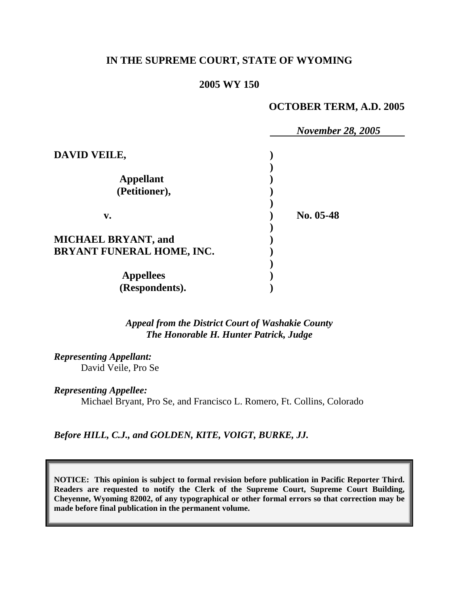# **IN THE SUPREME COURT, STATE OF WYOMING**

### **2005 WY 150**

### **OCTOBER TERM, A.D. 2005**

|                            | <b>November 28, 2005</b> |
|----------------------------|--------------------------|
| DAVID VEILE,               |                          |
|                            |                          |
| <b>Appellant</b>           |                          |
| (Petitioner),              |                          |
| $V_{\bullet}$              | No. 05-48                |
| <b>MICHAEL BRYANT, and</b> |                          |
| BRYANT FUNERAL HOME, INC.  |                          |
| <b>Appellees</b>           |                          |
| (Respondents).             |                          |

*Appeal from the District Court of Washakie County The Honorable H. Hunter Patrick, Judge* 

*Representing Appellant:* David Veile, Pro Se

*Representing Appellee:*

Michael Bryant, Pro Se, and Francisco L. Romero, Ft. Collins, Colorado

*Before HILL, C.J., and GOLDEN, KITE, VOIGT, BURKE, JJ.* 

**NOTICE: This opinion is subject to formal revision before publication in Pacific Reporter Third. Readers are requested to notify the Clerk of the Supreme Court, Supreme Court Building, Cheyenne, Wyoming 82002, of any typographical or other formal errors so that correction may be made before final publication in the permanent volume.**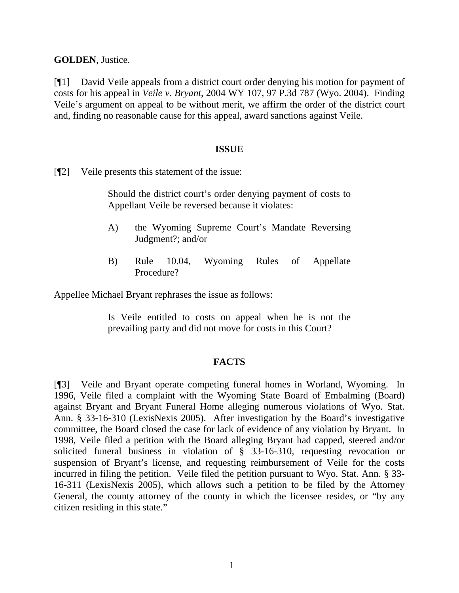**GOLDEN**, Justice.

[¶1] David Veile appeals from a district court order denying his motion for payment of costs for his appeal in *Veile v. Bryant*, 2004 WY 107, 97 P.3d 787 (Wyo. 2004). Finding Veile's argument on appeal to be without merit, we affirm the order of the district court and, finding no reasonable cause for this appeal, award sanctions against Veile.

#### **ISSUE**

[¶2] Veile presents this statement of the issue:

Should the district court's order denying payment of costs to Appellant Veile be reversed because it violates:

- A) the Wyoming Supreme Court's Mandate Reversing Judgment?; and/or
- B) Rule 10.04, Wyoming Rules of Appellate Procedure?

Appellee Michael Bryant rephrases the issue as follows:

Is Veile entitled to costs on appeal when he is not the prevailing party and did not move for costs in this Court?

### **FACTS**

[¶3] Veile and Bryant operate competing funeral homes in Worland, Wyoming. In 1996, Veile filed a complaint with the Wyoming State Board of Embalming (Board) against Bryant and Bryant Funeral Home alleging numerous violations of Wyo. Stat. Ann. § 33-16-310 (LexisNexis 2005). After investigation by the Board's investigative committee, the Board closed the case for lack of evidence of any violation by Bryant. In 1998, Veile filed a petition with the Board alleging Bryant had capped, steered and/or solicited funeral business in violation of § 33-16-310, requesting revocation or suspension of Bryant's license, and requesting reimbursement of Veile for the costs incurred in filing the petition. Veile filed the petition pursuant to Wyo. Stat. Ann. § 33- 16-311 (LexisNexis 2005), which allows such a petition to be filed by the Attorney General, the county attorney of the county in which the licensee resides, or "by any citizen residing in this state."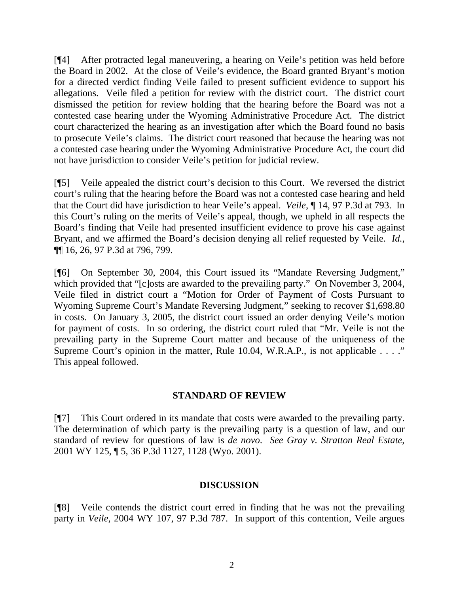[¶4] After protracted legal maneuvering, a hearing on Veile's petition was held before the Board in 2002. At the close of Veile's evidence, the Board granted Bryant's motion for a directed verdict finding Veile failed to present sufficient evidence to support his allegations. Veile filed a petition for review with the district court. The district court dismissed the petition for review holding that the hearing before the Board was not a contested case hearing under the Wyoming Administrative Procedure Act. The district court characterized the hearing as an investigation after which the Board found no basis to prosecute Veile's claims. The district court reasoned that because the hearing was not a contested case hearing under the Wyoming Administrative Procedure Act, the court did not have jurisdiction to consider Veile's petition for judicial review.

[¶5] Veile appealed the district court's decision to this Court. We reversed the district court's ruling that the hearing before the Board was not a contested case hearing and held that the Court did have jurisdiction to hear Veile's appeal. *Veile*, ¶ 14, 97 P.3d at 793. In this Court's ruling on the merits of Veile's appeal, though, we upheld in all respects the Board's finding that Veile had presented insufficient evidence to prove his case against Bryant, and we affirmed the Board's decision denying all relief requested by Veile. *Id.*, ¶¶ 16, 26, 97 P.3d at 796, 799.

[¶6] On September 30, 2004, this Court issued its "Mandate Reversing Judgment," which provided that "[c]osts are awarded to the prevailing party." On November 3, 2004, Veile filed in district court a "Motion for Order of Payment of Costs Pursuant to Wyoming Supreme Court's Mandate Reversing Judgment," seeking to recover \$1,698.80 in costs. On January 3, 2005, the district court issued an order denying Veile's motion for payment of costs. In so ordering, the district court ruled that "Mr. Veile is not the prevailing party in the Supreme Court matter and because of the uniqueness of the Supreme Court's opinion in the matter, Rule 10.04, W.R.A.P., is not applicable . . . ." This appeal followed.

### **STANDARD OF REVIEW**

[¶7] This Court ordered in its mandate that costs were awarded to the prevailing party. The determination of which party is the prevailing party is a question of law, and our standard of review for questions of law is *de novo*. *See Gray v. Stratton Real Estate*, 2001 WY 125, ¶ 5, 36 P.3d 1127, 1128 (Wyo. 2001).

## **DISCUSSION**

[¶8] Veile contends the district court erred in finding that he was not the prevailing party in *Veile*, 2004 WY 107, 97 P.3d 787. In support of this contention, Veile argues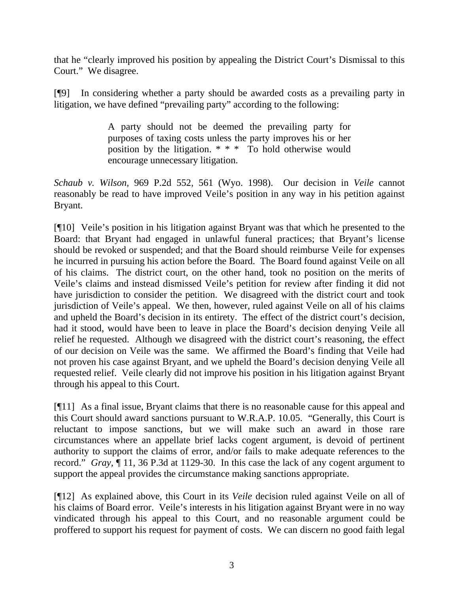that he "clearly improved his position by appealing the District Court's Dismissal to this Court." We disagree.

[¶9] In considering whether a party should be awarded costs as a prevailing party in litigation, we have defined "prevailing party" according to the following:

> A party should not be deemed the prevailing party for purposes of taxing costs unless the party improves his or her position by the litigation. \* \* \* To hold otherwise would encourage unnecessary litigation.

*Schaub v. Wilson*, 969 P.2d 552, 561 (Wyo. 1998). Our decision in *Veile* cannot reasonably be read to have improved Veile's position in any way in his petition against Bryant.

[¶10] Veile's position in his litigation against Bryant was that which he presented to the Board: that Bryant had engaged in unlawful funeral practices; that Bryant's license should be revoked or suspended; and that the Board should reimburse Veile for expenses he incurred in pursuing his action before the Board. The Board found against Veile on all of his claims. The district court, on the other hand, took no position on the merits of Veile's claims and instead dismissed Veile's petition for review after finding it did not have jurisdiction to consider the petition. We disagreed with the district court and took jurisdiction of Veile's appeal. We then, however, ruled against Veile on all of his claims and upheld the Board's decision in its entirety. The effect of the district court's decision, had it stood, would have been to leave in place the Board's decision denying Veile all relief he requested. Although we disagreed with the district court's reasoning, the effect of our decision on Veile was the same. We affirmed the Board's finding that Veile had not proven his case against Bryant, and we upheld the Board's decision denying Veile all requested relief. Veile clearly did not improve his position in his litigation against Bryant through his appeal to this Court.

[¶11] As a final issue, Bryant claims that there is no reasonable cause for this appeal and this Court should award sanctions pursuant to W.R.A.P. 10.05. "Generally, this Court is reluctant to impose sanctions, but we will make such an award in those rare circumstances where an appellate brief lacks cogent argument, is devoid of pertinent authority to support the claims of error, and/or fails to make adequate references to the record." *Gray*, ¶ 11, 36 P.3d at 1129-30. In this case the lack of any cogent argument to support the appeal provides the circumstance making sanctions appropriate.

[¶12] As explained above, this Court in its *Veile* decision ruled against Veile on all of his claims of Board error. Veile's interests in his litigation against Bryant were in no way vindicated through his appeal to this Court, and no reasonable argument could be proffered to support his request for payment of costs. We can discern no good faith legal